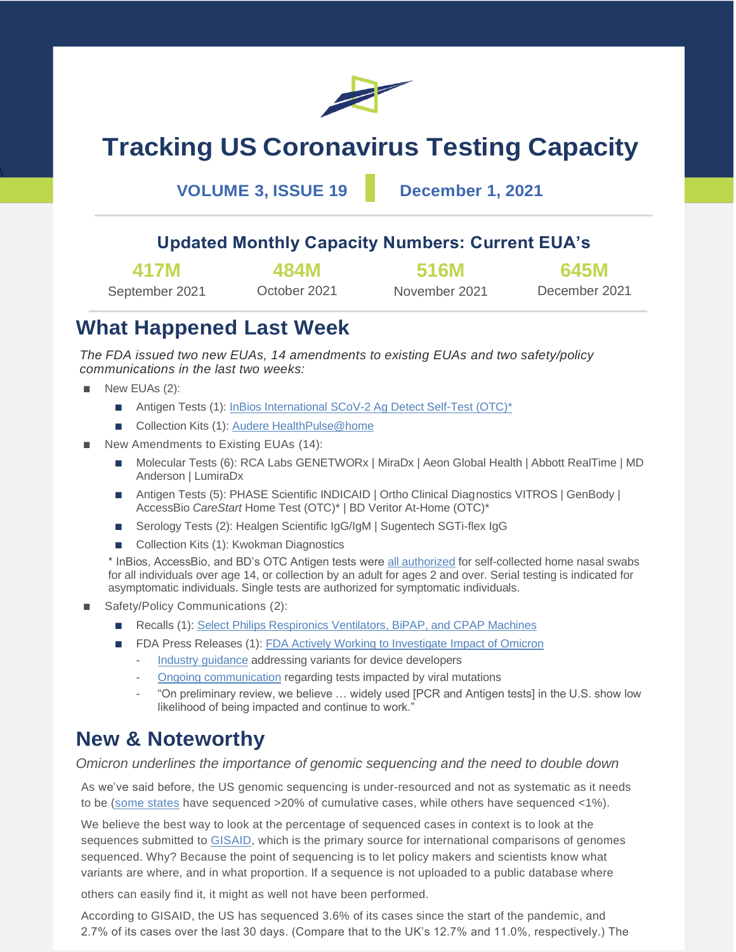

# **Tracking US Coronavirus Testing Capacity**

**VOLUME 3, ISSUE 19 December 1, 2021**

### **Updated Monthly Capacity Numbers: Current EUA's**

| 417M           | 484M         | <b>516M</b>   | 645M          |  |
|----------------|--------------|---------------|---------------|--|
| September 2021 | October 2021 | November 2021 | December 2021 |  |

### **What Happened Last Week**

*The FDA issued two new EUAs, 14 amendments to existing EUAs and two safety/policy communications in the last two weeks:*

New EUAs (2):

 $\overline{\phantom{0}}$ 

- Antigen Tests (1): InBios International SCoV-2 Ag Detect Self-Test (OTC)<sup>\*</sup>
- Collection Kits (1): [Audere HealthPulse@home](https://www.fda.gov/media/154582/download)
- New Amendments to Existing EUAs (14):
	- Molecular Tests (6): RCA Labs GENETWORx | MiraDx | Aeon Global Health | Abbott RealTime | MD Anderson | LumiraDx
	- Antigen Tests (5): PHASE Scientific INDICAID | Ortho Clinical Diagnostics VITROS | GenBody | AccessBio *CareStart* Home Test (OTC)\* | BD Veritor At-Home (OTC)\*
	- Serology Tests (2): Healgen Scientific IgG/IgM | Sugentech SGTi-flex IgG
	- Collection Kits (1): Kwokman Diagnostics

\* InBios, AccessBio, and BD's OTC Antigen tests were [all authorized](https://www.fda.gov/news-events/press-announcements/coronavirus-covid-19-update-november-23-2021) for self-collected home nasal swabs for all individuals over age 14, or collection by an adult for ages 2 and over. Serial testing is indicated for asymptomatic individuals. Single tests are authorized for symptomatic individuals.

- Safety/Policy Communications (2):
	- Recalls (1): [Select Philips Respironics Ventilators, BiPAP, and CPAP Machines](https://www.fda.gov/medical-devices/safety-communications/update-certain-philips-respironics-ventilators-bipap-and-cpap-machines-recalled-due-potential-health)
	- FDA Press Releases (1): [FDA Actively Working to Investigate Impact](https://www.fda.gov/news-events/press-announcements/coronavirus-covid-19-update-fda-actively-working-investigate-address-potential-impacts-omicron) of Omicron
		- [Industry guidance](https://www.fda.gov/news-events/press-announcements/coronavirus-covid-19-update-fda-issues-policies-guide-medical-product-developers-addressing-virus) addressing variants for device developers
		- [Ongoing communication](https://www.fda.gov/medical-devices/coronavirus-covid-19-and-medical-devices/sars-cov-2-viral-mutations-impact-covid-19-tests) regarding tests impacted by viral mutations
		- "On preliminary review, we believe ... widely used [PCR and Antigen tests] in the U.S. show low likelihood of being impacted and continue to work."

## **New & Noteworthy**

*Omicron underlines the importance of genomic sequencing and the need to double down*

As we've said before, the US genomic sequencing is under-resourced and not as systematic as it needs to be [\(some states](https://covid.cdc.gov/covid-data-tracker/#published-sars-cov-2-sequences) have sequenced >20% of cumulative cases, while others have sequenced <1%).

We believe the best way to look at the percentage of sequenced cases in context is to look at the sequences submitted to [GISAID,](https://www.gisaid.org/index.php?id=208) which is the primary source for international comparisons of genomes sequenced. Why? Because the point of sequencing is to let policy makers and scientists know what variants are where, and in what proportion. If a sequence is not uploaded to a public database where

others can easily find it, it might as well not have been performed.

According to GISAID, the US has sequenced 3.6% of its cases since the start of the pandemic, and 2.7% of its cases over the last 30 days. (Compare that to the UK's 12.7% and 11.0%, respectively.) The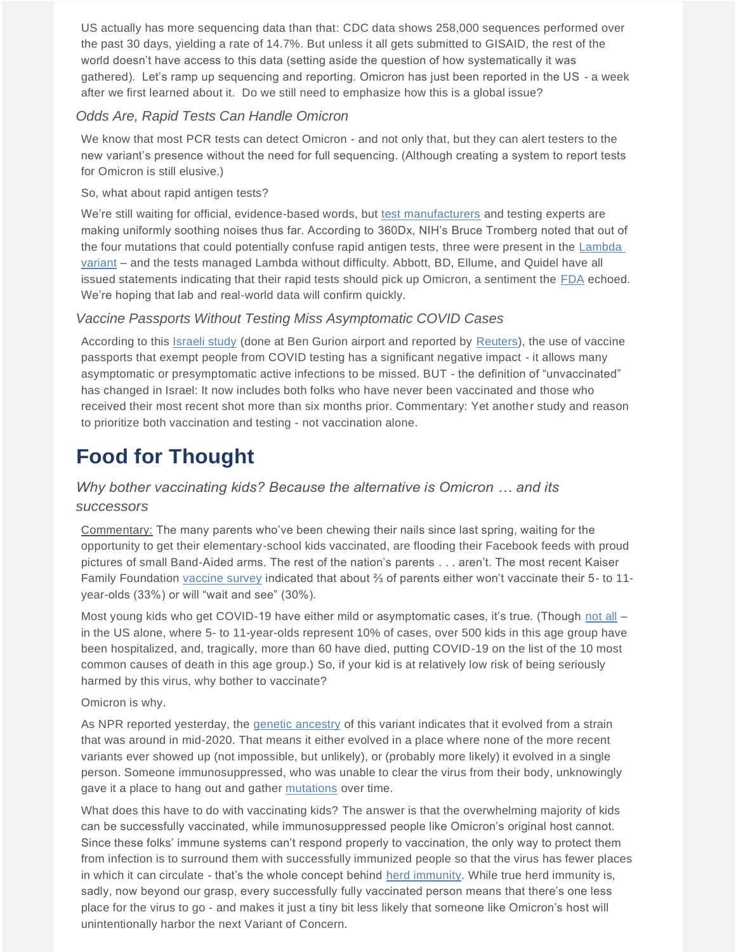US actually has more sequencing data than that: CDC data shows 258,000 sequences performed over the past 30 days, yielding a rate of 14.7%. But unless it all gets submitted to GISAID, the rest of the world doesn't have access to this data (setting aside the question of how systematically it was gathered). Let's ramp up sequencing and reporting. Omicron has just been reported in the US - a week after we first learned about it. Do we still need to emphasize how this is a global issue?

### *Odds Are, Rapid Tests Can Handle Omicron*

We know that most PCR tests can detect Omicron - and not only that, but they can alert testers to the new variant's presence without the need for full sequencing. (Although creating a system to report tests for Omicron is still elusive.)

### So, what about rapid antigen tests?

We're still waiting for official, evidence-based words, but [test manufacturers](https://www.medtechdive.com/news/omicron-variant-not-issue-some-covid-test-makers-say/610612/?utm_source=Sailthru&utm_medium=email&utm_campaign=Issue:%202021-11-30%20MedTech%20Dive%20%5Bissue:38281%5D&utm_term=MedTech%20Dive) and testing experts are making uniformly soothing noises thus far. According to 360Dx, NIH's Bruce Tromberg noted that out of the four mutations that could potentially confuse rapid antigen tests, three were present in the [Lambda](https://www.360dx.com/covid-19/will-rapid-antigen-tests-detect-sars-cov-2-omicron-variant-they-should)  [variant](https://www.360dx.com/covid-19/will-rapid-antigen-tests-detect-sars-cov-2-omicron-variant-they-should) – and the tests managed Lambda without difficulty. Abbott, BD, Ellume, and Quidel have all issued statements indicating that their rapid tests should pick up Omicron, a sentiment the [FDA](https://www.fda.gov/news-events/press-announcements/coronavirus-covid-19-update-fda-actively-working-investigate-address-potential-impacts-omicron) echoed. We're hoping that lab and real-world data will confirm quickly.

### *Vaccine Passports Without Testing Miss Asymptomatic COVID Cases*

According to this [Israeli study](https://papers.ssrn.com/sol3/papers.cfm?abstract_id=3963606) (done at Ben Gurion airport and reported by [Reuters\)](https://www.medscape.com/viewarticle/963397), the use of vaccine passports that exempt people from COVID testing has a significant negative impact - it allows many asymptomatic or presymptomatic active infections to be missed. BUT - the definition of "unvaccinated" has changed in Israel: It now includes both folks who have never been vaccinated and those who received their most recent shot more than six months prior. Commentary: Yet another study and reason to prioritize both vaccination and testing - not vaccination alone.

## **Food for Thought**

### *Why bother vaccinating kids? Because the alternative is Omicron … and its successors*

Commentary: The many parents who've been chewing their nails since last spring, waiting for the opportunity to get their elementary-school kids vaccinated, are flooding their Facebook feeds with proud pictures of small Band-Aided arms. The rest of the nation's parents . . . aren't. The most recent Kaiser Family Foundation [vaccine survey](https://www.kff.org/coronavirus-covid-19/poll-finding/kff-covid-19-vaccine-monitor-october-2021/) indicated that about ⅔ of parents either won't vaccinate their 5- to 11 year-olds (33%) or will "wait and see" (30%).

Most young kids who get COVID-19 have either mild or asymptomatic cases, it's true. (Though [not all](https://www.cdc.gov/vaccines/acip/meetings/downloads/slides-2021-11-2-3/03-COVID-Jefferson-508.pdf) – in the US alone, where 5- to 11-year-olds represent 10% of cases, over 500 kids in this age group have been hospitalized, and, tragically, more than 60 have died, putting COVID-19 on the list of the 10 most common causes of death in this age group.) So, if your kid is at relatively low risk of being seriously harmed by this virus, why bother to vaccinate?

#### Omicron is why.

As NPR reported yesterday, the [genetic ancestry](https://www.npr.org/2021/11/30/1060185915/the-omicron-variant-might-have-originated-in-someone-with-a-suppressed-immune-sy) of this variant indicates that it evolved from a strain that was around in mid-2020. That means it either evolved in a place where none of the more recent variants ever showed up (not impossible, but unlikely), or (probably more likely) it evolved in a single person. Someone immunosuppressed, who was unable to clear the virus from their body, unknowingly gave it a place to hang out and gather [mutations](https://www.science.org/content/article/patience-crucial-why-we-won-t-know-weeks-how-dangerous-omicron) over time.

What does this have to do with vaccinating kids? The answer is that the overwhelming majority of kids can be successfully vaccinated, while immunosuppressed people like Omicron's original host cannot. Since these folks' immune systems can't respond properly to vaccination, the only way to protect them from infection is to surround them with successfully immunized people so that the virus has fewer places in which it can circulate - that's the whole concept behind [herd immunity.](https://www.mayoclinic.org/diseases-conditions/coronavirus/in-depth/herd-immunity-and-coronavirus/art-20486808) While true herd immunity is, sadly, now beyond our grasp, every successfully fully vaccinated person means that there's one less place for the virus to go - and makes it just a tiny bit less likely that someone like Omicron's host will unintentionally harbor the next Variant of Concern.